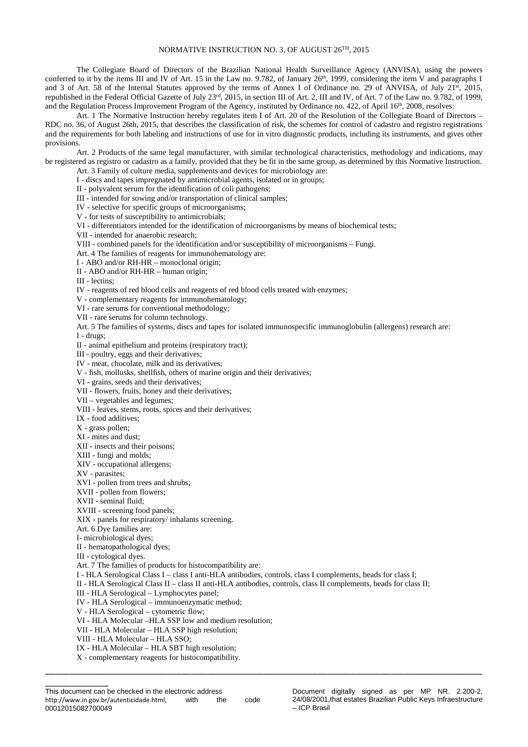## NORMATIVE INSTRUCTION NO. 3, OF AUGUST 26TH, 2015

The Collegiate Board of Directors of the Brazilian National Health Surveillance Agency (ANVISA), using the powers conferred to it by the items III and IV of Art. 15 in the Law no. 9.782, of January 26<sup>th</sup>, 1999, considering the item V and paragraphs 1 and 3 of Art. 58 of the Internal Statutes approved by the terms of Annex I of Ordinance no. 29 of ANVISA, of July 21<sup>st</sup>, 2015, republished in the Federal Official Gazette of July 23rd, 2015, in section III of Art. 2, III and IV, of Art. 7 of the Law no. 9.782, of 1999, and the Regulation Process Improvement Program of the Agency, instituted by Ordinance no. 422, of April 16<sup>th</sup>, 2008, resolves:

Art. 1 The Normative Instruction hereby regulates item I of Art. 20 of the Resolution of the Collegiate Board of Directors – RDC no. 36, of August 26th, 2015, that describes the classification of risk, the schemes for control of cadastro and registro registrations and the requirements for both labeling and instructions of use for in vitro diagnostic products, including its instruments, and gives other provisions.

Art. 2 Products of the same legal manufacturer, with similar technological characteristics, methodology and indications, may be registered as registro or cadastro as a family, provided that they be fit in the same group, as determined by this Normative Instruction.

Art. 3 Family of culture media, supplements and devices for microbiology are: I - discs and tapes impregnated by antimicrobial agents, isolated or in groups;

II - polyvalent serum for the identification of coli pathogens;

III - intended for sowing and/or transportation of clinical samples;

IV - selective for specific groups of microorganisms;

V - for tests of susceptibility to antimicrobials;

VI - differentiators intended for the identification of microorganisms by means of biochemical tests;

VII - intended for anaerobic research;

VIII - combined panels for the identification and/or susceptibility of microorganisms – Fungi.

Art. 4 The families of reagents for immunohematology are:

I - ABO and/or RH-HR – monoclonal origin;

II - ABO and/or RH-HR – human origin;

III - lectins;

IV - reagents of red blood cells and reagents of red blood cells treated with enzymes;

V - complementary reagents for immunohematology;

VI - rare serums for conventional methodology;

VII - rare serums for column technology.

Art. 5 The families of systems, discs and tapes for isolated immunospecific immunoglobulin (allergens) research are: I - drugs;

II - animal epithelium and proteins (respiratory tract);

III - poultry, eggs and their derivatives;

IV - meat, chocolate, milk and its derivatives;

V - fish, mollusks, shellfish, others of marine origin and their derivatives;

VI - grains, seeds and their derivatives;

VII - flowers, fruits, honey and their derivatives;

VII – vegetables and legumes;

VIII - leaves, stems, roots, spices and their derivatives;

IX - food additives;

X - grass pollen;

XI - mites and dust;

XII - insects and their poisons;

XIII - fungi and molds;

XIV - occupational allergens;

XV - parasites;

XVI - pollen from trees and shrubs;

XVII - pollen from flowers;

XVII - seminal fluid;

XVIII - screening food panels;

XIX - panels for respiratory/ inhalants screening.

Art. 6 Dye families are:

I- microbiological dyes;

II - hematopathological dyes;

III - cytological dyes.

\_\_\_\_\_\_\_\_\_\_\_\_\_

Art. 7 The families of products for histocompatibility are:

I - HLA Serological Class I – class I anti-HLA antibodies, controls, class I complements, beads for class I;

II - HLA Serological Class II – class II anti-HLA antibodies, controls, class II complements, beads for class II;

\_\_\_\_\_\_\_\_\_\_\_\_\_\_\_\_\_\_\_\_\_\_\_\_\_\_\_\_\_\_\_\_\_\_\_\_\_\_\_\_\_\_\_\_\_\_\_\_\_\_\_\_\_\_\_\_\_\_\_\_\_\_\_\_\_\_\_\_\_\_\_\_\_\_\_\_\_\_\_\_\_\_\_\_\_\_\_\_\_\_

III - HLA Serological – Lymphocytes panel;

IV - HLA Serological – immunoenzymatic method;

V - HLA Serological – cytometric flow;

VI - HLA Molecular –HLA SSP low and medium resolution;

VII - HLA Molecular – HLA SSP high resolution;

VIII - HLA Molecular – HLA SSO;

IX - HLA Molecular – HLA SBT high resolution;

X - complementary reagents for histocompatibility.